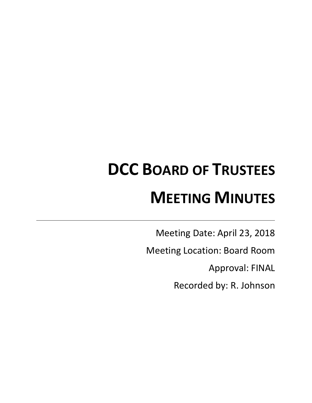# **DCC BOARD OF TRUSTEES MEETING MINUTES**

Meeting Date: April 23, 2018

Meeting Location: Board Room

Approval: FINAL

Recorded by: R. Johnson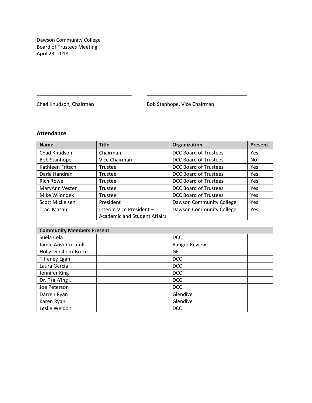Dawson Community College Board of Trustees Meeting April 23, 2018

Chad Knudson, Chairman **Bob Stanhope**, Vice Chairman

# **Attendance**

| <b>Name</b>                      | <b>Title</b>                        | Organization                 | Present   |
|----------------------------------|-------------------------------------|------------------------------|-----------|
| Chad Knudson                     | Chairman                            | <b>DCC Board of Trustees</b> | Yes       |
| <b>Bob Stanhope</b>              | Vice Chairman                       | <b>DCC Board of Trustees</b> | <b>No</b> |
| Kathleen Fritsch                 | Trustee                             | <b>DCC Board of Trustees</b> | Yes       |
| Darla Handran                    | Trustee                             | <b>DCC Board of Trustees</b> | Yes       |
| <b>Rich Rowe</b>                 | Trustee                             | <b>DCC Board of Trustees</b> | Yes       |
| MaryAnn Vester                   | Trustee                             | <b>DCC Board of Trustees</b> | Yes       |
| Mike Wilondek                    | Trustee                             | <b>DCC Board of Trustees</b> | Yes       |
| Scott Mickelsen                  | President                           | Dawson Community College     | Yes       |
| Traci Masau                      | Interim Vice President -            | Dawson Community College     | Yes       |
|                                  | <b>Academic and Student Affairs</b> |                              |           |
|                                  |                                     |                              |           |
| <b>Community Members Present</b> |                                     |                              |           |
| Suela Cela                       |                                     | <b>DCC</b>                   |           |
| Jamie Ausk Crisafulli            |                                     | Ranger Review                |           |
| <b>Holly Dershem-Bruce</b>       |                                     | <b>GFT</b>                   |           |
| <b>Tiffaney Egan</b>             |                                     | <b>DCC</b>                   |           |
| Laura Garcia                     |                                     | <b>DCC</b>                   |           |
| Jennifer King                    |                                     | <b>DCC</b>                   |           |
| Dr. Tsai-Ying Li                 |                                     | <b>DCC</b>                   |           |
| Joe Peterson                     |                                     | <b>DCC</b>                   |           |
| Darren Ryan                      |                                     | Glendive                     |           |
| Karen Ryan                       |                                     | Glendive                     |           |
| Leslie Weldon                    |                                     | <b>DCC</b>                   |           |

\_\_\_\_\_\_\_\_\_\_\_\_\_\_\_\_\_\_\_\_\_\_\_\_\_\_\_\_\_\_\_\_\_\_ \_\_\_\_\_\_\_\_\_\_\_\_\_\_\_\_\_\_\_\_\_\_\_\_\_\_\_\_\_\_\_\_\_\_\_\_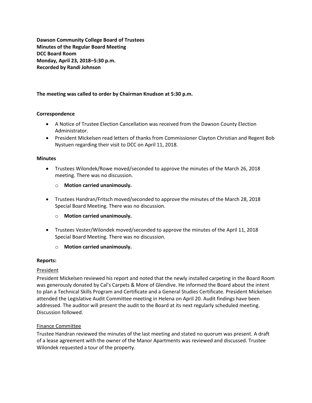**Dawson Community College Board of Trustees Minutes of the Regular Board Meeting DCC Board Room Monday, April 23, 2018–5:30 p.m. Recorded by Randi Johnson**

# **The meeting was called to order by Chairman Knudson at 5:30 p.m.**

#### **Correspondence**

- A Notice of Trustee Election Cancellation was received from the Dawson County Election Administrator.
- President Mickelsen read letters of thanks from Commissioner Clayton Christian and Regent Bob Nystuen regarding their visit to DCC on April 11, 2018.

#### **Minutes**

- Trustees Wilondek/Rowe moved/seconded to approve the minutes of the March 26, 2018 meeting. There was no discussion.
	- o **Motion carried unanimously.**
- Trustees Handran/Fritsch moved/seconded to approve the minutes of the March 28, 2018 Special Board Meeting. There was no discussion.
	- o **Motion carried unanimously.**
- Trustees Vester/Wilondek moved/seconded to approve the minutes of the April 11, 2018 Special Board Meeting. There was no discussion.
	- o **Motion carried unanimously.**

#### **Reports:**

#### President

President Mickelsen reviewed his report and noted that the newly installed carpeting in the Board Room was generously donated by Cal's Carpets & More of Glendive. He informed the Board about the intent to plan a Technical Skills Program and Certificate and a General Studies Certificate. President Mickelsen attended the Legislative Audit Committee meeting in Helena on April 20. Audit findings have been addressed. The auditor will present the audit to the Board at its next regularly scheduled meeting. Discussion followed.

#### Finance Committee

Trustee Handran reviewed the minutes of the last meeting and stated no quorum was present. A draft of a lease agreement with the owner of the Manor Apartments was reviewed and discussed. Trustee Wilondek requested a tour of the property.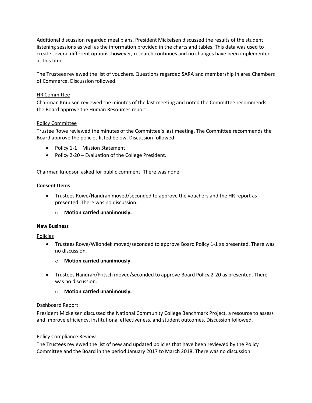Additional discussion regarded meal plans. President Mickelsen discussed the results of the student listening sessions as well as the information provided in the charts and tables. This data was used to create several different options; however, research continues and no changes have been implemented at this time.

The Trustees reviewed the list of vouchers. Questions regarded SARA and membership in area Chambers of Commerce. Discussion followed.

#### HR Committee

Chairman Knudson reviewed the minutes of the last meeting and noted the Committee recommends the Board approve the Human Resources report.

### Policy Committee

Trustee Rowe reviewed the minutes of the Committee's last meeting. The Committee recommends the Board approve the policies listed below. Discussion followed.

- Policy 1-1 Mission Statement.
- Policy 2-20 Evaluation of the College President.

Chairman Knudson asked for public comment. There was none.

#### **Consent Items**

 Trustees Rowe/Handran moved/seconded to approve the vouchers and the HR report as presented. There was no discussion.

o **Motion carried unanimously.**

#### **New Business**

#### Policies

- Trustees Rowe/Wilondek moved/seconded to approve Board Policy 1-1 as presented. There was no discussion.
	- o **Motion carried unanimously.**
- Trustees Handran/Fritsch moved/seconded to approve Board Policy 2-20 as presented. There was no discussion.
	- o **Motion carried unanimously.**

#### Dashboard Report

President Mickelsen discussed the National Community College Benchmark Project, a resource to assess and improve efficiency, institutional effectiveness, and student outcomes. Discussion followed.

#### Policy Compliance Review

The Trustees reviewed the list of new and updated policies that have been reviewed by the Policy Committee and the Board in the period January 2017 to March 2018. There was no discussion.